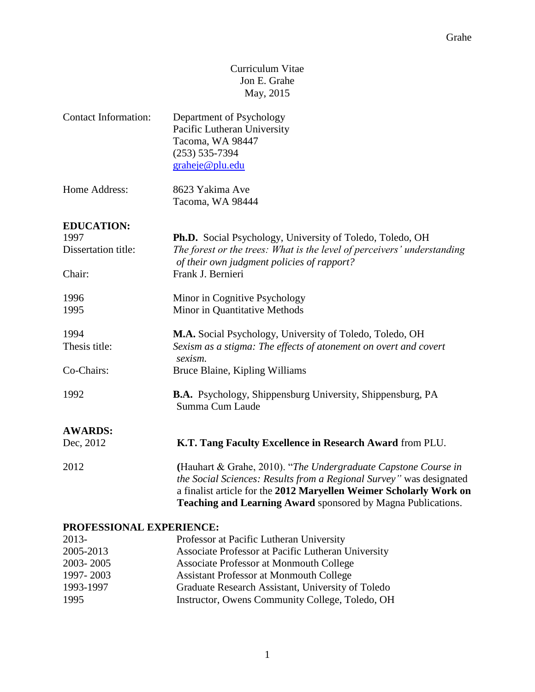# Curriculum Vitae Jon E. Grahe May, 2015

| <b>Contact Information:</b> | Department of Psychology                        |
|-----------------------------|-------------------------------------------------|
|                             | Pacific Lutheran University<br>Tacoma, WA 98447 |
|                             | $(253) 535 - 7394$                              |
|                             | grakeje@plu.edu                                 |
|                             |                                                 |

| Home Address: | 8623 Yakima Ave  |
|---------------|------------------|
|               | Tacoma, WA 98444 |

# **EDUCATION:**

| 1997                | <b>Ph.D.</b> Social Psychology, University of Toledo, Toledo, OH                                                                              |
|---------------------|-----------------------------------------------------------------------------------------------------------------------------------------------|
| Dissertation title: | The forest or the trees: What is the level of perceivers' understanding<br>of their own judgment policies of rapport?                         |
| Chair:              | Frank J. Bernieri                                                                                                                             |
| 1996                | Minor in Cognitive Psychology                                                                                                                 |
| 1995                | Minor in Quantitative Methods                                                                                                                 |
| 1994                | M.A. Social Psychology, University of Toledo, Toledo, OH                                                                                      |
| Thesis title:       | Sexism as a stigma: The effects of atonement on overt and covert<br>sexism.                                                                   |
| Co-Chairs:          | Bruce Blaine, Kipling Williams                                                                                                                |
| 1992                | <b>B.A.</b> Psychology, Shippensburg University, Shippensburg, PA<br>Summa Cum Laude                                                          |
| <b>AWARDS:</b>      |                                                                                                                                               |
| Dec, 2012           | K.T. Tang Faculty Excellence in Research Award from PLU.                                                                                      |
| 2012                | (Hauhart & Grahe, 2010). "The Undergraduate Capstone Course in<br><i>the Social Sciences: Results from a Regional Survey</i> " was designated |

a finalist article for the **2012 Maryellen Weimer Scholarly Work on Teaching and Learning Award** sponsored by Magna Publications.

### **PROFESSIONAL EXPERIENCE:**

| $2013-$   | Professor at Pacific Lutheran University           |
|-----------|----------------------------------------------------|
| 2005-2013 | Associate Professor at Pacific Lutheran University |
| 2003-2005 | Associate Professor at Monmouth College            |
| 1997-2003 | <b>Assistant Professor at Monmouth College</b>     |
| 1993-1997 | Graduate Research Assistant, University of Toledo  |
| 1995      | Instructor, Owens Community College, Toledo, OH    |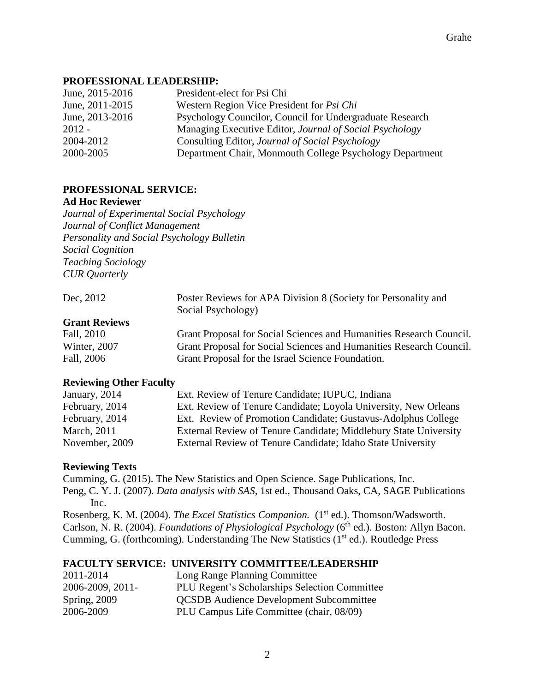### **PROFESSIONAL LEADERSHIP:**

| June, 2015-2016 | President-elect for Psi Chi                              |
|-----------------|----------------------------------------------------------|
| June, 2011-2015 | Western Region Vice President for <i>Psi Chi</i>         |
| June, 2013-2016 | Psychology Councilor, Council for Undergraduate Research |
| $2012 -$        | Managing Executive Editor, Journal of Social Psychology  |
| 2004-2012       | Consulting Editor, Journal of Social Psychology          |
| 2000-2005       | Department Chair, Monmouth College Psychology Department |

# **PROFESSIONAL SERVICE:**

### **Ad Hoc Reviewer**

*Journal of Experimental Social Psychology Journal of Conflict Management Personality and Social Psychology Bulletin Social Cognition Teaching Sociology CUR Quarterly*

| Dec. 2012            | Poster Reviews for APA Division 8 (Society for Personality and      |
|----------------------|---------------------------------------------------------------------|
|                      | Social Psychology)                                                  |
| <b>Grant Reviews</b> |                                                                     |
| Fall, 2010           | Grant Proposal for Social Sciences and Humanities Research Council. |
| Winter, 2007         | Grant Proposal for Social Sciences and Humanities Research Council. |
| Fall, 2006           | Grant Proposal for the Israel Science Foundation.                   |

#### **Reviewing Other Faculty**

| January, 2014  | Ext. Review of Tenure Candidate; IUPUC, Indiana                  |
|----------------|------------------------------------------------------------------|
| February, 2014 | Ext. Review of Tenure Candidate; Loyola University, New Orleans  |
| February, 2014 | Ext. Review of Promotion Candidate; Gustavus-Adolphus College    |
| March, 2011    | External Review of Tenure Candidate; Middlebury State University |
| November, 2009 | External Review of Tenure Candidate; Idaho State University      |
|                |                                                                  |

# **Reviewing Texts**

Cumming, G. (2015). The New Statistics and Open Science. Sage Publications, Inc. Peng, C. Y. J. (2007). *Data analysis with SAS*, 1st ed., Thousand Oaks, CA, SAGE Publications Inc.

Rosenberg, K. M. (2004). *The Excel Statistics Companion.* (1<sup>st</sup> ed.). Thomson/Wadsworth. Carlson, N. R. (2004). *Foundations of Physiological Psychology* (6<sup>th</sup> ed.). Boston: Allyn Bacon. Cumming, G. (forthcoming). Understanding The New Statistics  $(1<sup>st</sup> ed.)$ . Routledge Press

# **FACULTY SERVICE: UNIVERSITY COMMITTEE/LEADERSHIP**

| 2011-2014        | Long Range Planning Committee                  |
|------------------|------------------------------------------------|
| 2006-2009, 2011- | PLU Regent's Scholarships Selection Committee  |
| Spring, 2009     | <b>QCSDB</b> Audience Development Subcommittee |
| 2006-2009        | PLU Campus Life Committee (chair, 08/09)       |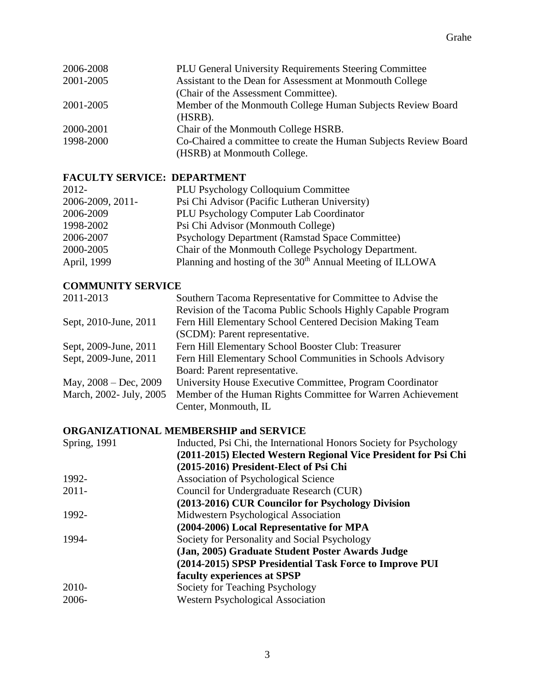| 2006-2008 | PLU General University Requirements Steering Committee           |
|-----------|------------------------------------------------------------------|
| 2001-2005 | Assistant to the Dean for Assessment at Monmouth College         |
|           | (Chair of the Assessment Committee).                             |
| 2001-2005 | Member of the Monmouth College Human Subjects Review Board       |
|           | (HSRB).                                                          |
| 2000-2001 | Chair of the Monmouth College HSRB.                              |
| 1998-2000 | Co-Chaired a committee to create the Human Subjects Review Board |
|           | (HSRB) at Monmouth College.                                      |

# **FACULTY SERVICE: DEPARTMENT**

| $2012 -$         | <b>PLU Psychology Colloquium Committee</b>                            |
|------------------|-----------------------------------------------------------------------|
| 2006-2009, 2011- | Psi Chi Advisor (Pacific Lutheran University)                         |
| 2006-2009        | PLU Psychology Computer Lab Coordinator                               |
| 1998-2002        | Psi Chi Advisor (Monmouth College)                                    |
| 2006-2007        | <b>Psychology Department (Ramstad Space Committee)</b>                |
| 2000-2005        | Chair of the Monmouth College Psychology Department.                  |
| April, 1999      | Planning and hosting of the 30 <sup>th</sup> Annual Meeting of ILLOWA |

# **COMMUNITY SERVICE**

| 2011-2013                  | Southern Tacoma Representative for Committee to Advise the   |
|----------------------------|--------------------------------------------------------------|
|                            | Revision of the Tacoma Public Schools Highly Capable Program |
| Sept, 2010-June, 2011      | Fern Hill Elementary School Centered Decision Making Team    |
|                            | (SCDM): Parent representative.                               |
| Sept, 2009-June, 2011      | Fern Hill Elementary School Booster Club: Treasurer          |
| Sept, 2009-June, 2011      | Fern Hill Elementary School Communities in Schools Advisory  |
|                            | Board: Parent representative.                                |
| May, $2008 - Dec$ , $2009$ | University House Executive Committee, Program Coordinator    |
| March, 2002- July, 2005    | Member of the Human Rights Committee for Warren Achievement  |
|                            | Center, Monmouth, IL                                         |

# **ORGANIZATIONAL MEMBERSHIP and SERVICE**

| <b>Spring</b> , 1991 | Inducted, Psi Chi, the International Honors Society for Psychology |
|----------------------|--------------------------------------------------------------------|
|                      | (2011-2015) Elected Western Regional Vice President for Psi Chi    |
|                      | (2015-2016) President-Elect of Psi Chi                             |
| 1992-                | <b>Association of Psychological Science</b>                        |
| $2011 -$             | Council for Undergraduate Research (CUR)                           |
|                      | (2013-2016) CUR Councilor for Psychology Division                  |
| 1992-                | Midwestern Psychological Association                               |
|                      | (2004-2006) Local Representative for MPA                           |
| 1994-                | Society for Personality and Social Psychology                      |
|                      | (Jan, 2005) Graduate Student Poster Awards Judge                   |
|                      | (2014-2015) SPSP Presidential Task Force to Improve PUI            |
|                      | faculty experiences at SPSP                                        |
| 2010-                | Society for Teaching Psychology                                    |
| 2006-                | <b>Western Psychological Association</b>                           |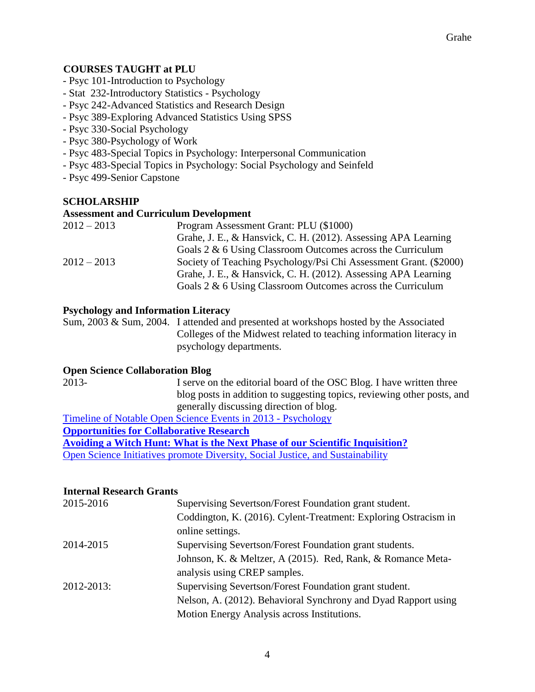# **COURSES TAUGHT at PLU**

- Psyc 101-Introduction to Psychology
- Stat 232-Introductory Statistics Psychology
- Psyc 242-Advanced Statistics and Research Design
- Psyc 389-Exploring Advanced Statistics Using SPSS
- Psyc 330-Social Psychology
- Psyc 380-Psychology of Work
- Psyc 483-Special Topics in Psychology: Interpersonal Communication
- Psyc 483-Special Topics in Psychology: Social Psychology and Seinfeld
- Psyc 499-Senior Capstone

# **SCHOLARSHIP**

#### **Assessment and Curriculum Development**

| $2012 - 2013$ | Program Assessment Grant: PLU (\$1000)                            |
|---------------|-------------------------------------------------------------------|
|               | Grahe, J. E., & Hansvick, C. H. (2012). Assessing APA Learning    |
|               | Goals $2 \& 6$ Using Classroom Outcomes across the Curriculum     |
| $2012 - 2013$ | Society of Teaching Psychology/Psi Chi Assessment Grant. (\$2000) |
|               | Grahe, J. E., & Hansvick, C. H. (2012). Assessing APA Learning    |
|               | Goals $2 \& 6$ Using Classroom Outcomes across the Curriculum     |

### **Psychology and Information Literacy**

Sum, 2003 & Sum, 2004. I attended and presented at workshops hosted by the Associated Colleges of the Midwest related to teaching information literacy in psychology departments.

#### **Open Science Collaboration Blog**

2013- I serve on the editorial board of the OSC Blog. I have written three blog posts in addition to suggesting topics, reviewing other posts, and generally discussing direction of blog.

[Timeline of Notable Open Science Events in 2013 -](http://osc.centerforopenscience.org/2014/01/01/open-science-timeline/) Psychology

**[Opportunities for Collaborative Research](http://osc.centerforopenscience.org/2013/10/10/opportunities-for-collaborative-research/)**

**[Avoiding a Witch Hunt: What is the Next Phase of our Scientific Inquisition?](http://osc.centerforopenscience.org/2014/05/02/avoiding-a-witch-hunt/)**

[Open Science Initiatives promote Diversity, Social Justice, and Sustainability](http://osc.centerforopenscience.org/author/jon-grahe.html)

#### **Internal Research Grants**

| 2015-2016  | Supervising Severtson/Forest Foundation grant student.          |
|------------|-----------------------------------------------------------------|
|            | Coddington, K. (2016). Cylent-Treatment: Exploring Ostracism in |
|            | online settings.                                                |
| 2014-2015  | Supervising Severtson/Forest Foundation grant students.         |
|            | Johnson, K. & Meltzer, A (2015). Red, Rank, & Romance Meta-     |
|            | analysis using CREP samples.                                    |
| 2012-2013: | Supervising Severtson/Forest Foundation grant student.          |
|            | Nelson, A. (2012). Behavioral Synchrony and Dyad Rapport using  |
|            | Motion Energy Analysis across Institutions.                     |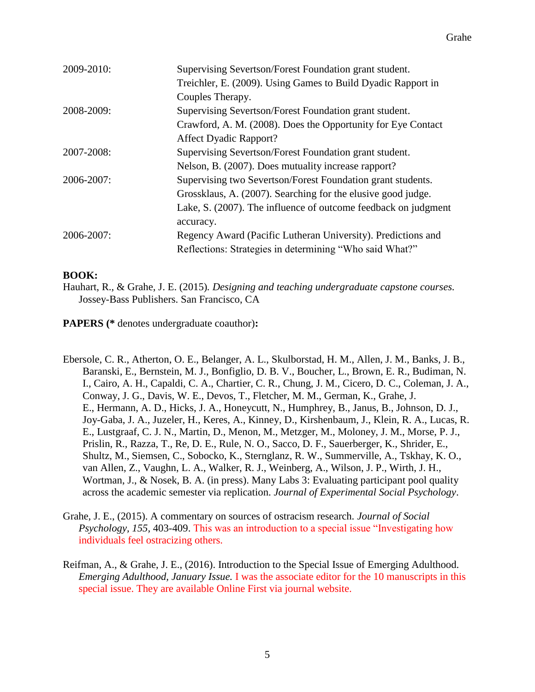| 2009-2010: | Supervising Severtson/Forest Foundation grant student.         |
|------------|----------------------------------------------------------------|
|            | Treichler, E. (2009). Using Games to Build Dyadic Rapport in   |
|            | Couples Therapy.                                               |
| 2008-2009: | Supervising Severtson/Forest Foundation grant student.         |
|            | Crawford, A. M. (2008). Does the Opportunity for Eye Contact   |
|            | <b>Affect Dyadic Rapport?</b>                                  |
| 2007-2008: | Supervising Severtson/Forest Foundation grant student.         |
|            | Nelson, B. (2007). Does mutuality increase rapport?            |
| 2006-2007: | Supervising two Severtson/Forest Foundation grant students.    |
|            | Grossklaus, A. (2007). Searching for the elusive good judge.   |
|            | Lake, S. (2007). The influence of outcome feedback on judgment |
|            | accuracy.                                                      |
| 2006-2007: | Regency Award (Pacific Lutheran University). Predictions and   |
|            | Reflections: Strategies in determining "Who said What?"        |
|            |                                                                |

### **BOOK:**

Hauhart, R., & Grahe, J. E. (2015)*. Designing and teaching undergraduate capstone courses.* Jossey-Bass Publishers. San Francisco, CA

**PAPERS (\*** denotes undergraduate coauthor)**:**

Ebersole, C. R., Atherton, O. E., Belanger, A. L., Skulborstad, H. M., Allen, J. M., Banks, J. B., Baranski, E., Bernstein, M. J., Bonfiglio, D. B. V., Boucher, L., Brown, E. R., Budiman, N. I., Cairo, A. H., Capaldi, C. A., Chartier, C. R., Chung, J. M., Cicero, D. C., Coleman, J. A., Conway, J. G., Davis, W. E., Devos, T., Fletcher, M. M., German, K., Grahe, J. E., Hermann, A. D., Hicks, J. A., Honeycutt, N., Humphrey, B., Janus, B., Johnson, D. J., Joy-Gaba, J. A., Juzeler, H., Keres, A., Kinney, D., Kirshenbaum, J., Klein, R. A., Lucas, R. E., Lustgraaf, C. J. N., Martin, D., Menon, M., Metzger, M., Moloney, J. M., Morse, P. J., Prislin, R., Razza, T., Re, D. E., Rule, N. O., Sacco, D. F., Sauerberger, K., Shrider, E., Shultz, M., Siemsen, C., Sobocko, K., Sternglanz, R. W., Summerville, A., Tskhay, K. O., van Allen, Z., Vaughn, L. A., Walker, R. J., Weinberg, A., Wilson, J. P., Wirth, J. H., Wortman, J., & Nosek, B. A. (in press). Many Labs 3: Evaluating participant pool quality across the academic semester via replication. *Journal of Experimental Social Psychology*.

- Grahe, J. E., (2015). A commentary on sources of ostracism research. *Journal of Social Psychology, 155,* 403-409. This was an introduction to a special issue "Investigating how individuals feel ostracizing others.
- Reifman, A., & Grahe, J. E., (2016). Introduction to the Special Issue of Emerging Adulthood. *Emerging Adulthood, January Issue.* I was the associate editor for the 10 manuscripts in this special issue. They are available Online First via journal website.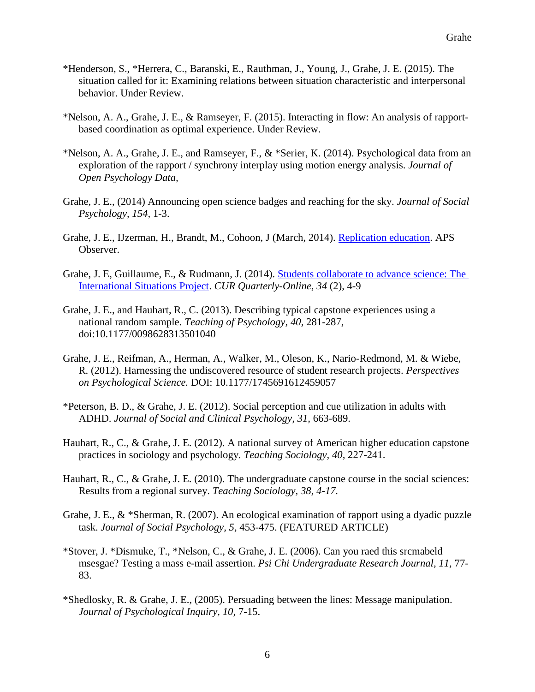- \*Henderson, S., \*Herrera, C., Baranski, E., Rauthman, J., Young, J., Grahe, J. E. (2015). The situation called for it: Examining relations between situation characteristic and interpersonal behavior. Under Review.
- \*Nelson, A. A., Grahe, J. E., & Ramseyer, F. (2015). Interacting in flow: An analysis of rapportbased coordination as optimal experience. Under Review.
- \*Nelson, A. A., Grahe, J. E., and Ramseyer, F., & \*Serier, K. (2014). Psychological data from an exploration of the rapport / synchrony interplay using motion energy analysis. *Journal of Open Psychology Data,*
- Grahe, J. E., (2014) Announcing open science badges and reaching for the sky. *Journal of Social Psychology, 154,* 1-3.
- Grahe, J. E., IJzerman, H., Brandt, M., Cohoon, J (March, 2014). [Replication education.](https://www.psychologicalscience.org/index.php/publications/observer/2014/march-14/replication-education.html) APS Observer.
- Grahe, J. E, Guillaume, E., & Rudmann, J. (2014). [Students collaborate to advance science: The](http://www.cur.org/assets/1/23/Winter2013_v34.2_Grahe.Guilaume.Rudmann.pdf)  [International Situations Project.](http://www.cur.org/assets/1/23/Winter2013_v34.2_Grahe.Guilaume.Rudmann.pdf) *CUR Quarterly-Online, 34* (2), 4-9
- Grahe, J. E., and Hauhart, R., C. (2013). Describing typical capstone experiences using a national random sample. *Teaching of Psychology, 40,* 281-287, doi:10.1177/0098628313501040
- Grahe, J. E., Reifman, A., Herman, A., Walker, M., Oleson, K., Nario-Redmond, M. & Wiebe, R. (2012). Harnessing the undiscovered resource of student research projects. *Perspectives on Psychological Science.* DOI: 10.1177/1745691612459057
- \*Peterson, B. D., & Grahe, J. E. (2012). Social perception and cue utilization in adults with ADHD. *Journal of Social and Clinical Psychology, 31,* 663-689.
- Hauhart, R., C., & Grahe, J. E. (2012). A national survey of American higher education capstone practices in sociology and psychology*. Teaching Sociology, 40,* 227-241.
- Hauhart, R., C., & Grahe, J. E. (2010). The undergraduate capstone course in the social sciences: Results from a regional survey. *Teaching Sociology, 38, 4-17.*
- Grahe, J. E., & \*Sherman, R. (2007). An ecological examination of rapport using a dyadic puzzle task. *Journal of Social Psychology, 5,* 453-475. (FEATURED ARTICLE)
- \*Stover, J. \*Dismuke, T., \*Nelson, C., & Grahe, J. E. (2006). Can you raed this srcmabeld msesgae? Testing a mass e-mail assertion. *Psi Chi Undergraduate Research Journal, 11,* 77- 83.
- \*Shedlosky, R. & Grahe, J. E., (2005). Persuading between the lines: Message manipulation. *Journal of Psychological Inquiry, 10,* 7-15.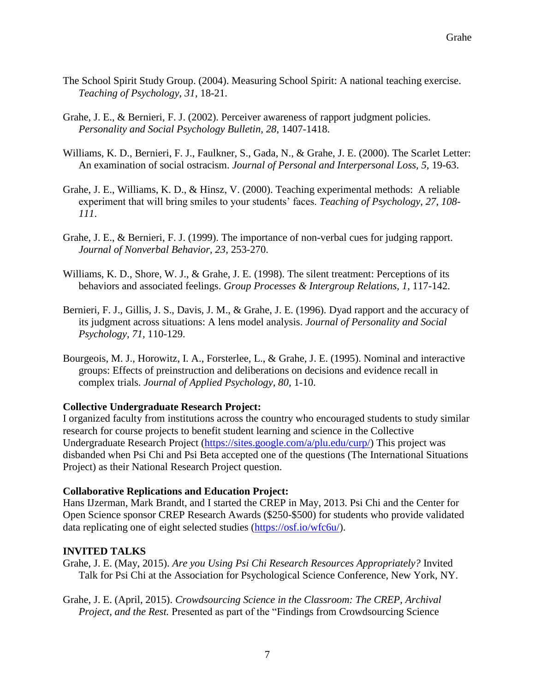- The School Spirit Study Group. (2004). Measuring School Spirit: A national teaching exercise. *Teaching of Psychology, 31,* 18-21.
- Grahe, J. E., & Bernieri, F. J. (2002). Perceiver awareness of rapport judgment policies*. Personality and Social Psychology Bulletin, 28*, 1407-1418.
- Williams, K. D., Bernieri, F. J., Faulkner, S., Gada, N., & Grahe, J. E. (2000). The Scarlet Letter: An examination of social ostracism. *Journal of Personal and Interpersonal Loss, 5,* 19-63.
- Grahe, J. E., Williams, K. D., & Hinsz, V. (2000). Teaching experimental methods: A reliable experiment that will bring smiles to your students' faces. *Teaching of Psychology, 27, 108- 111*.
- Grahe, J. E., & Bernieri, F. J. (1999). The importance of non-verbal cues for judging rapport. *Journal of Nonverbal Behavior, 23*, 253-270.
- Williams, K. D., Shore, W. J., & Grahe, J. E. (1998). The silent treatment: Perceptions of its behaviors and associated feelings. *Group Processes & Intergroup Relations, 1*, 117-142.
- Bernieri, F. J., Gillis, J. S., Davis, J. M., & Grahe, J. E. (1996). Dyad rapport and the accuracy of its judgment across situations: A lens model analysis. *Journal of Personality and Social Psychology, 71,* 110-129.
- Bourgeois, M. J., Horowitz, I. A., Forsterlee, L., & Grahe, J. E. (1995). Nominal and interactive groups: Effects of preinstruction and deliberations on decisions and evidence recall in complex trials. *Journal of Applied Psychology, 80,* 1-10.

# **Collective Undergraduate Research Project:**

I organized faculty from institutions across the country who encouraged students to study similar research for course projects to benefit student learning and science in the Collective Undergraduate Research Project [\(https://sites.google.com/a/plu.edu/curp/\)](https://sites.google.com/a/plu.edu/curp/) This project was disbanded when Psi Chi and Psi Beta accepted one of the questions (The International Situations Project) as their National Research Project question.

#### **Collaborative Replications and Education Project:**

Hans IJzerman, Mark Brandt, and I started the CREP in May, 2013. Psi Chi and the Center for Open Science sponsor CREP Research Awards (\$250-\$500) for students who provide validated data replicating one of eight selected studies [\(https://osf.io/wfc6u/\)](https://osf.io/wfc6u/).

# **INVITED TALKS**

Grahe, J. E. (May, 2015). *Are you Using Psi Chi Research Resources Appropriately?* Invited Talk for Psi Chi at the Association for Psychological Science Conference, New York, NY.

Grahe, J. E. (April, 2015). *Crowdsourcing Science in the Classroom: The CREP, Archival Project, and the Rest.* Presented as part of the "Findings from Crowdsourcing Science"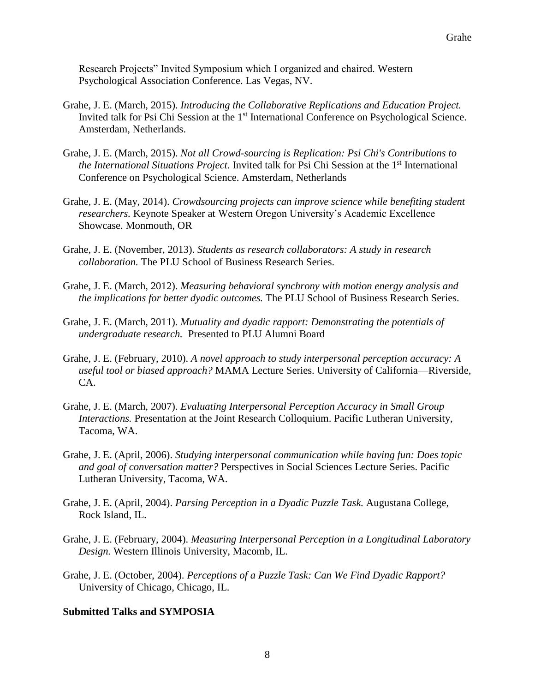Research Projects" Invited Symposium which I organized and chaired. Western Psychological Association Conference. Las Vegas, NV.

- Grahe, J. E. (March, 2015). *Introducing the Collaborative Replications and Education Project.*  Invited talk for Psi Chi Session at the 1<sup>st</sup> International Conference on Psychological Science. Amsterdam, Netherlands.
- Grahe, J. E. (March, 2015). *Not all Crowd-sourcing is Replication: Psi Chi's Contributions to the International Situations Project.* Invited talk for Psi Chi Session at the 1<sup>st</sup> International Conference on Psychological Science. Amsterdam, Netherlands
- Grahe, J. E. (May, 2014). *Crowdsourcing projects can improve science while benefiting student researchers.* Keynote Speaker at Western Oregon University's Academic Excellence Showcase. Monmouth, OR
- Grahe, J. E. (November, 2013). *Students as research collaborators: A study in research collaboration.* The PLU School of Business Research Series.
- Grahe, J. E. (March, 2012). *Measuring behavioral synchrony with motion energy analysis and the implications for better dyadic outcomes.* The PLU School of Business Research Series.
- Grahe, J. E. (March, 2011). *Mutuality and dyadic rapport: Demonstrating the potentials of undergraduate research.* Presented to PLU Alumni Board
- Grahe, J. E. (February, 2010). *A novel approach to study interpersonal perception accuracy: A useful tool or biased approach?* MAMA Lecture Series. University of California—Riverside, CA.
- Grahe, J. E. (March, 2007). *Evaluating Interpersonal Perception Accuracy in Small Group Interactions.* Presentation at the Joint Research Colloquium. Pacific Lutheran University, Tacoma, WA.
- Grahe, J. E. (April, 2006). *Studying interpersonal communication while having fun: Does topic and goal of conversation matter?* Perspectives in Social Sciences Lecture Series. Pacific Lutheran University, Tacoma, WA.
- Grahe, J. E. (April, 2004). *Parsing Perception in a Dyadic Puzzle Task.* Augustana College, Rock Island, IL.
- Grahe, J. E. (February, 2004). *Measuring Interpersonal Perception in a Longitudinal Laboratory Design.* Western Illinois University, Macomb, IL.
- Grahe, J. E. (October, 2004). *Perceptions of a Puzzle Task: Can We Find Dyadic Rapport?*  University of Chicago, Chicago, IL.

#### **Submitted Talks and SYMPOSIA**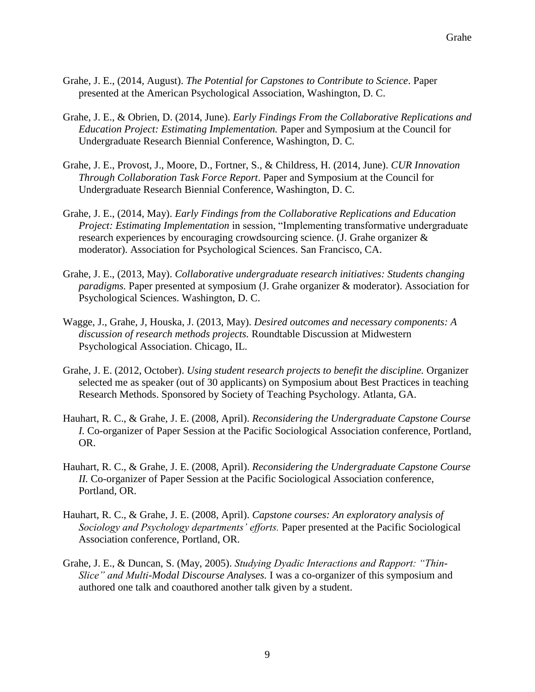- Grahe, J. E., (2014, August). *The Potential for Capstones to Contribute to Science*. Paper presented at the American Psychological Association, Washington, D. C.
- Grahe, J. E., & Obrien, D. (2014, June). *Early Findings From the Collaborative Replications and Education Project: Estimating Implementation.* Paper and Symposium at the Council for Undergraduate Research Biennial Conference, Washington, D. C.
- Grahe, J. E., Provost, J., Moore, D., Fortner, S., & Childress, H. (2014, June). *CUR Innovation Through Collaboration Task Force Report*. Paper and Symposium at the Council for Undergraduate Research Biennial Conference, Washington, D. C.
- Grahe, J. E., (2014, May). *Early Findings from the Collaborative Replications and Education Project: Estimating Implementation* in session, "Implementing transformative undergraduate research experiences by encouraging crowdsourcing science. (J. Grahe organizer & moderator). Association for Psychological Sciences. San Francisco, CA.
- Grahe, J. E., (2013, May). *Collaborative undergraduate research initiatives: Students changing paradigms.* Paper presented at symposium (J. Grahe organizer & moderator). Association for Psychological Sciences. Washington, D. C.
- Wagge, J., Grahe, J, Houska, J. (2013, May). *Desired outcomes and necessary components: A discussion of research methods projects.* Roundtable Discussion at Midwestern Psychological Association. Chicago, IL.
- Grahe, J. E. (2012, October). *Using student research projects to benefit the discipline.* Organizer selected me as speaker (out of 30 applicants) on Symposium about Best Practices in teaching Research Methods. Sponsored by Society of Teaching Psychology. Atlanta, GA.
- Hauhart, R. C., & Grahe, J. E. (2008, April). *Reconsidering the Undergraduate Capstone Course I.* Co-organizer of Paper Session at the Pacific Sociological Association conference, Portland, OR.
- Hauhart, R. C., & Grahe, J. E. (2008, April). *Reconsidering the Undergraduate Capstone Course II.* Co-organizer of Paper Session at the Pacific Sociological Association conference, Portland, OR.
- Hauhart, R. C., & Grahe, J. E. (2008, April). *Capstone courses: An exploratory analysis of Sociology and Psychology departments' efforts.* Paper presented at the Pacific Sociological Association conference, Portland, OR.
- Grahe, J. E., & Duncan, S. (May, 2005). *Studying Dyadic Interactions and Rapport: "Thin-Slice" and Multi-Modal Discourse Analyses.* I was a co-organizer of this symposium and authored one talk and coauthored another talk given by a student.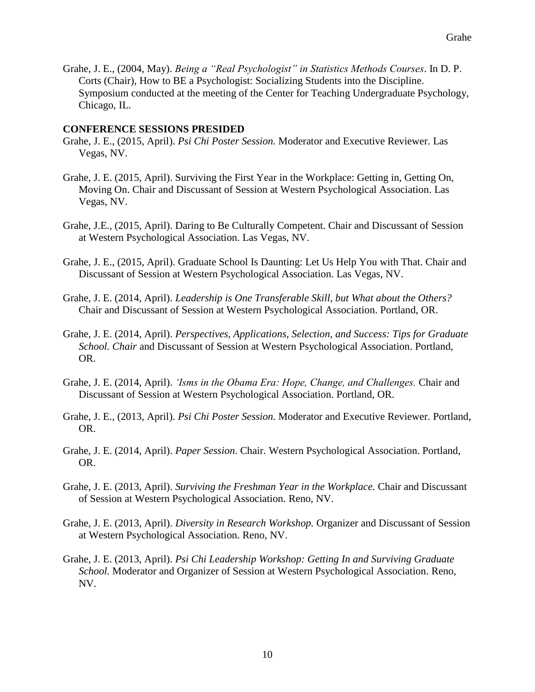Grahe, J. E., (2004, May). *Being a "Real Psychologist" in Statistics Methods Courses*. In D. P. Corts (Chair), How to BE a Psychologist: Socializing Students into the Discipline. Symposium conducted at the meeting of the Center for Teaching Undergraduate Psychology, Chicago, IL.

#### **CONFERENCE SESSIONS PRESIDED**

- Grahe, J. E., (2015, April). *Psi Chi Poster Session.* Moderator and Executive Reviewer. Las Vegas, NV.
- Grahe, J. E. (2015, April). Surviving the First Year in the Workplace: Getting in, Getting On, Moving On. Chair and Discussant of Session at Western Psychological Association. Las Vegas, NV.
- Grahe, J.E., (2015, April). Daring to Be Culturally Competent. Chair and Discussant of Session at Western Psychological Association. Las Vegas, NV.
- Grahe, J. E., (2015, April). Graduate School Is Daunting: Let Us Help You with That. Chair and Discussant of Session at Western Psychological Association. Las Vegas, NV.
- Grahe, J. E. (2014, April). *Leadership is One Transferable Skill, but What about the Others?* Chair and Discussant of Session at Western Psychological Association. Portland, OR.
- Grahe, J. E. (2014, April). *Perspectives, Applications, Selection, and Success: Tips for Graduate School. Chair* and Discussant of Session at Western Psychological Association. Portland, OR.
- Grahe, J. E. (2014, April). *'Isms in the Obama Era: Hope, Change, and Challenges.* Chair and Discussant of Session at Western Psychological Association. Portland, OR.
- Grahe, J. E., (2013, April). *Psi Chi Poster Session.* Moderator and Executive Reviewer. Portland, OR.
- Grahe, J. E. (2014, April). *Paper Session*. Chair. Western Psychological Association. Portland, OR.
- Grahe, J. E. (2013, April). *Surviving the Freshman Year in the Workplace.* Chair and Discussant of Session at Western Psychological Association. Reno, NV.
- Grahe, J. E. (2013, April). *Diversity in Research Workshop.* Organizer and Discussant of Session at Western Psychological Association. Reno, NV.
- Grahe, J. E. (2013, April). *Psi Chi Leadership Workshop: Getting In and Surviving Graduate School.* Moderator and Organizer of Session at Western Psychological Association. Reno, NV.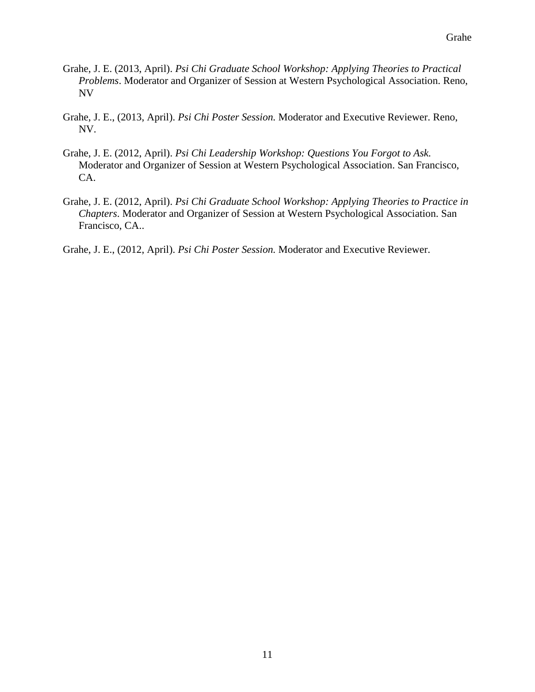- Grahe, J. E. (2013, April). *Psi Chi Graduate School Workshop: Applying Theories to Practical Problems*. Moderator and Organizer of Session at Western Psychological Association. Reno, NV
- Grahe, J. E., (2013, April). *Psi Chi Poster Session.* Moderator and Executive Reviewer. Reno, NV.
- Grahe, J. E. (2012, April). *Psi Chi Leadership Workshop: Questions You Forgot to Ask.* Moderator and Organizer of Session at Western Psychological Association. San Francisco, CA.
- Grahe, J. E. (2012, April). *Psi Chi Graduate School Workshop: Applying Theories to Practice in Chapters*. Moderator and Organizer of Session at Western Psychological Association. San Francisco, CA..
- Grahe, J. E., (2012, April). *Psi Chi Poster Session.* Moderator and Executive Reviewer.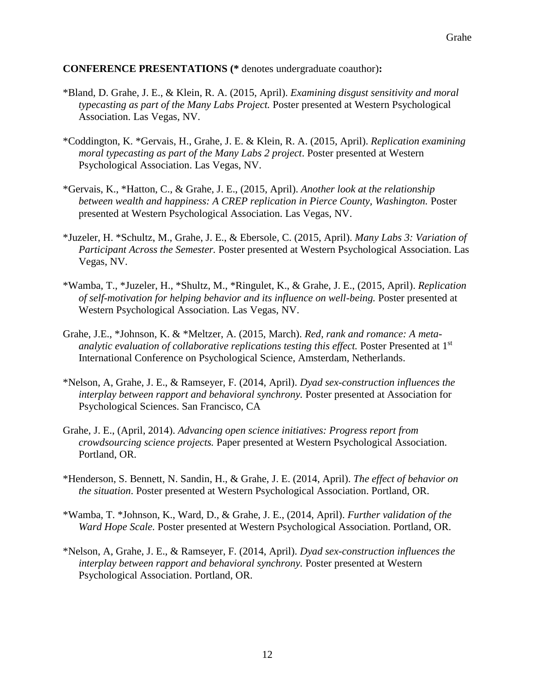### **CONFERENCE PRESENTATIONS (\*** denotes undergraduate coauthor)**:**

- \*Bland, D. Grahe, J. E., & Klein, R. A. (2015, April). *Examining disgust sensitivity and moral typecasting as part of the Many Labs Project.* Poster presented at Western Psychological Association. Las Vegas, NV.
- \*Coddington, K. \*Gervais, H., Grahe, J. E. & Klein, R. A. (2015, April). *Replication examining moral typecasting as part of the Many Labs 2 project*. Poster presented at Western Psychological Association. Las Vegas, NV.
- \*Gervais, K., \*Hatton, C., & Grahe, J. E., (2015, April). *Another look at the relationship between wealth and happiness: A CREP replication in Pierce County, Washington.* Poster presented at Western Psychological Association. Las Vegas, NV.
- \*Juzeler, H. \*Schultz, M., Grahe, J. E., & Ebersole, C. (2015, April). *Many Labs 3: Variation of Participant Across the Semester.* Poster presented at Western Psychological Association. Las Vegas, NV.
- \*Wamba, T., \*Juzeler, H., \*Shultz, M., \*Ringulet, K., & Grahe, J. E., (2015, April). *Replication of self-motivation for helping behavior and its influence on well-being.* Poster presented at Western Psychological Association. Las Vegas, NV.
- Grahe, J.E., \*Johnson, K. & \*Meltzer, A. (2015, March). *Red, rank and romance: A meta*analytic evaluation of collaborative replications testing this effect. Poster Presented at 1<sup>st</sup> International Conference on Psychological Science, Amsterdam, Netherlands.
- \*Nelson, A, Grahe, J. E., & Ramseyer, F. (2014, April). *Dyad sex-construction influences the interplay between rapport and behavioral synchrony.* Poster presented at Association for Psychological Sciences. San Francisco, CA
- Grahe, J. E., (April, 2014). *Advancing open science initiatives: Progress report from crowdsourcing science projects.* Paper presented at Western Psychological Association. Portland, OR.
- \*Henderson, S. Bennett, N. Sandin, H., & Grahe, J. E. (2014, April). *The effect of behavior on the situation*. Poster presented at Western Psychological Association. Portland, OR.
- \*Wamba, T. \*Johnson, K., Ward, D., & Grahe, J. E., (2014, April). *Further validation of the Ward Hope Scale.* Poster presented at Western Psychological Association. Portland, OR.
- \*Nelson, A, Grahe, J. E., & Ramseyer, F. (2014, April). *Dyad sex-construction influences the interplay between rapport and behavioral synchrony.* Poster presented at Western Psychological Association. Portland, OR.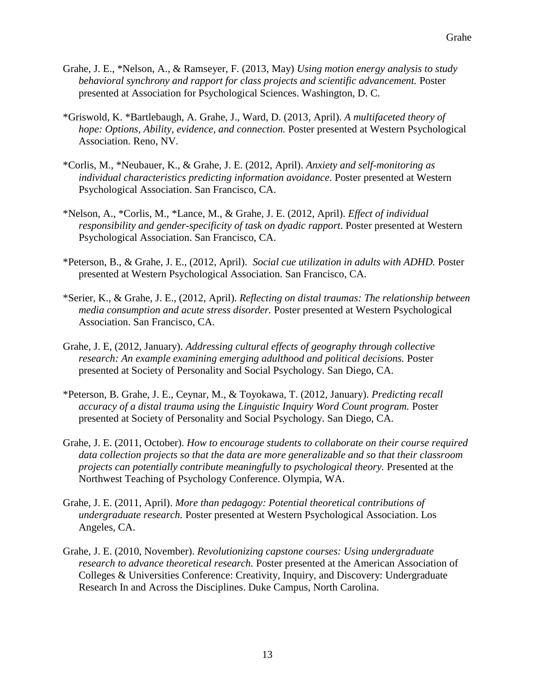- Grahe, J. E., \*Nelson, A., & Ramseyer, F. (2013, May) *Using motion energy analysis to study behavioral synchrony and rapport for class projects and scientific advancement.* Poster presented at Association for Psychological Sciences. Washington, D. C.
- \*Griswold, K. \*Bartlebaugh, A. Grahe, J., Ward, D. (2013, April). *A multifaceted theory of hope: Options, Ability, evidence, and connection.* Poster presented at Western Psychological Association. Reno, NV.
- \*Corlis, M., \*Neubauer, K., & Grahe, J. E. (2012, April). *Anxiety and self-monitoring as individual characteristics predicting information avoidance*. Poster presented at Western Psychological Association. San Francisco, CA.
- \*Nelson, A., \*Corlis, M., \*Lance, M., & Grahe, J. E. (2012, April). *Effect of individual responsibility and gender-specificity of task on dyadic rapport*. Poster presented at Western Psychological Association. San Francisco, CA.
- \*Peterson, B., & Grahe, J. E., (2012, April). *Social cue utilization in adults with ADHD.* Poster presented at Western Psychological Association. San Francisco, CA.
- \*Serier, K., & Grahe, J. E., (2012, April). *Reflecting on distal traumas: The relationship between media consumption and acute stress disorder.* Poster presented at Western Psychological Association. San Francisco, CA.
- Grahe, J. E, (2012, January). *Addressing cultural effects of geography through collective research: An example examining emerging adulthood and political decisions.* Poster presented at Society of Personality and Social Psychology. San Diego, CA.
- \*Peterson, B. Grahe, J. E., Ceynar, M., & Toyokawa, T. (2012, January). *Predicting recall accuracy of a distal trauma using the Linguistic Inquiry Word Count program.* Poster presented at Society of Personality and Social Psychology. San Diego, CA.
- Grahe, J. E. (2011, October). *How to encourage students to collaborate on their course required data collection projects so that the data are more generalizable and so that their classroom projects can potentially contribute meaningfully to psychological theory.* Presented at the Northwest Teaching of Psychology Conference. Olympia, WA.
- Grahe, J. E. (2011, April). *More than pedagogy: Potential theoretical contributions of undergraduate research.* Poster presented at Western Psychological Association. Los Angeles, CA.
- Grahe, J. E. (2010, November). *Revolutionizing capstone courses: Using undergraduate research to advance theoretical research.* Poster presented at the American Association of Colleges & Universities Conference: Creativity, Inquiry, and Discovery: Undergraduate Research In and Across the Disciplines. Duke Campus, North Carolina.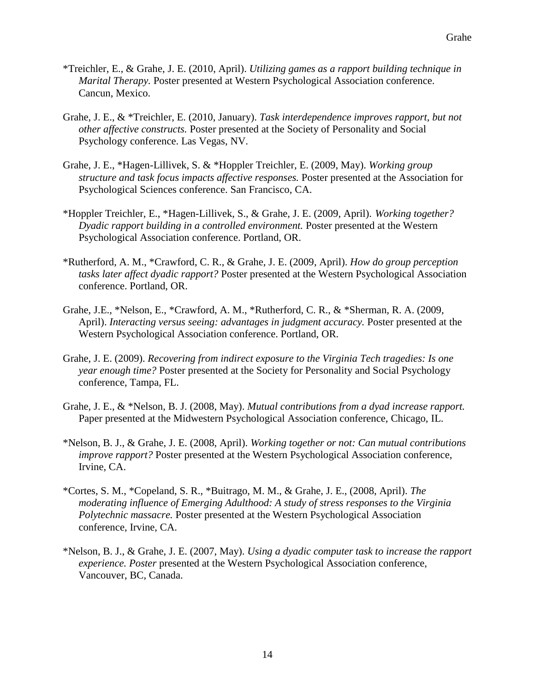- \*Treichler, E., & Grahe, J. E. (2010, April). *Utilizing games as a rapport building technique in Marital Therapy.* Poster presented at Western Psychological Association conference. Cancun, Mexico.
- Grahe, J. E., & \*Treichler, E. (2010, January). *Task interdependence improves rapport, but not other affective constructs.* Poster presented at the Society of Personality and Social Psychology conference. Las Vegas, NV.
- Grahe, J. E., \*Hagen-Lillivek, S. & \*Hoppler Treichler, E. (2009, May). *Working group structure and task focus impacts affective responses.* Poster presented at the Association for Psychological Sciences conference. San Francisco, CA.
- \*Hoppler Treichler, E., \*Hagen-Lillivek, S., & Grahe, J. E. (2009, April). *Working together? Dyadic rapport building in a controlled environment.* Poster presented at the Western Psychological Association conference. Portland, OR.
- \*Rutherford, A. M., \*Crawford, C. R., & Grahe, J. E. (2009, April). *How do group perception tasks later affect dyadic rapport?* Poster presented at the Western Psychological Association conference. Portland, OR.
- Grahe, J.E., \*Nelson, E., \*Crawford, A. M., \*Rutherford, C. R., & \*Sherman, R. A. (2009, April). *Interacting versus seeing: advantages in judgment accuracy*. Poster presented at the Western Psychological Association conference. Portland, OR.
- Grahe, J. E. (2009). *Recovering from indirect exposure to the Virginia Tech tragedies: Is one year enough time?* Poster presented at the Society for Personality and Social Psychology conference, Tampa, FL.
- Grahe, J. E., & \*Nelson, B. J. (2008, May). *Mutual contributions from a dyad increase rapport.*  Paper presented at the Midwestern Psychological Association conference, Chicago, IL.
- \*Nelson, B. J., & Grahe, J. E. (2008, April). *Working together or not: Can mutual contributions improve rapport?* Poster presented at the Western Psychological Association conference, Irvine, CA.
- \*Cortes, S. M., \*Copeland, S. R., \*Buitrago, M. M., & Grahe, J. E., (2008, April). *The moderating influence of Emerging Adulthood: A study of stress responses to the Virginia Polytechnic massacre.* Poster presented at the Western Psychological Association conference, Irvine, CA.
- \*Nelson, B. J., & Grahe, J. E. (2007, May). *Using a dyadic computer task to increase the rapport experience. Poster* presented at the Western Psychological Association conference, Vancouver, BC, Canada.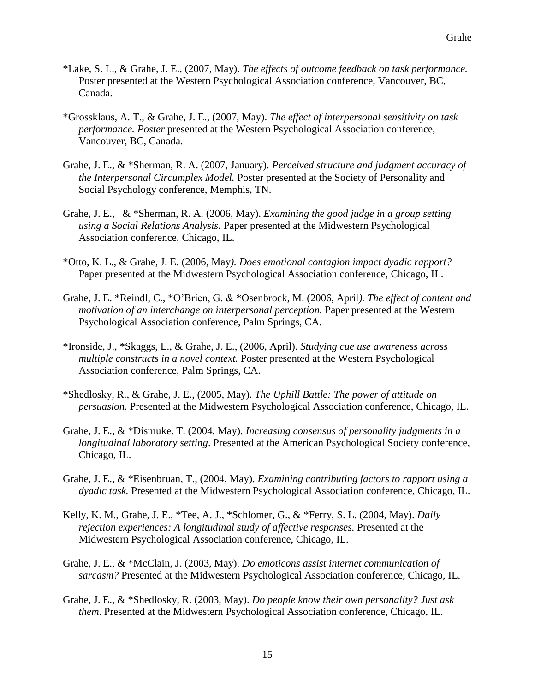- \*Lake, S. L., & Grahe, J. E., (2007, May). *The effects of outcome feedback on task performance.* Poster presented at the Western Psychological Association conference, Vancouver, BC, Canada.
- \*Grossklaus, A. T., & Grahe, J. E., (2007, May). *The effect of interpersonal sensitivity on task performance. Poster* presented at the Western Psychological Association conference, Vancouver, BC, Canada.
- Grahe, J. E., & \*Sherman, R. A. (2007, January). *Perceived structure and judgment accuracy of the Interpersonal Circumplex Model.* Poster presented at the Society of Personality and Social Psychology conference, Memphis, TN.
- Grahe, J. E., & \*Sherman, R. A. (2006, May). *Examining the good judge in a group setting using a Social Relations Analysis.* Paper presented at the Midwestern Psychological Association conference, Chicago, IL.
- \*Otto, K. L., & Grahe, J. E. (2006, May*). Does emotional contagion impact dyadic rapport?* Paper presented at the Midwestern Psychological Association conference, Chicago, IL.
- Grahe, J. E. \*Reindl, C., \*O'Brien, G. & \*Osenbrock, M. (2006, April*). The effect of content and motivation of an interchange on interpersonal perception.* Paper presented at the Western Psychological Association conference, Palm Springs, CA.
- \*Ironside, J., \*Skaggs, L., & Grahe, J. E., (2006, April). *Studying cue use awareness across multiple constructs in a novel context.* Poster presented at the Western Psychological Association conference, Palm Springs, CA.
- \*Shedlosky, R., & Grahe, J. E., (2005, May). *The Uphill Battle: The power of attitude on persuasion.* Presented at the Midwestern Psychological Association conference, Chicago, IL.
- Grahe, J. E., & \*Dismuke. T. (2004, May). *Increasing consensus of personality judgments in a longitudinal laboratory setting*. Presented at the American Psychological Society conference, Chicago, IL.
- Grahe, J. E., & \*Eisenbruan, T., (2004, May). *Examining contributing factors to rapport using a dyadic task.* Presented at the Midwestern Psychological Association conference, Chicago, IL.
- Kelly, K. M., Grahe, J. E., \*Tee, A. J., \*Schlomer, G., & \*Ferry, S. L. (2004, May). *Daily rejection experiences: A longitudinal study of affective responses. Presented at the* Midwestern Psychological Association conference, Chicago, IL.
- Grahe, J. E., & \*McClain, J. (2003, May). *Do emoticons assist internet communication of sarcasm?* Presented at the Midwestern Psychological Association conference, Chicago, IL.
- Grahe, J. E., & \*Shedlosky, R. (2003, May). *Do people know their own personality? Just ask them*. Presented at the Midwestern Psychological Association conference, Chicago, IL.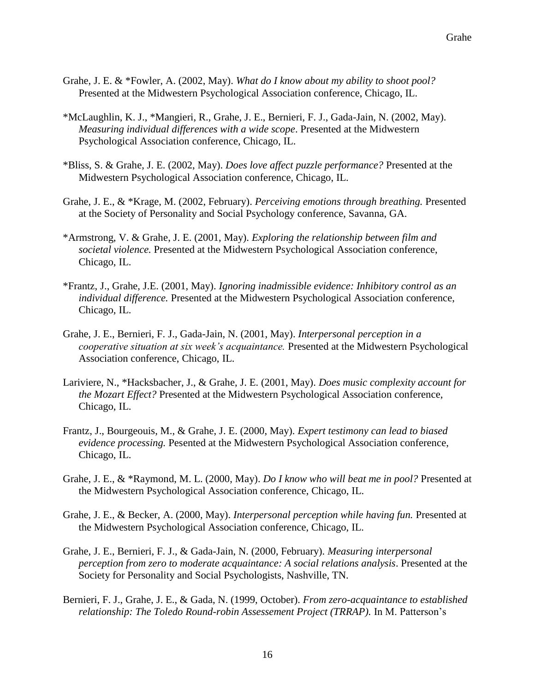- Grahe, J. E. & \*Fowler, A. (2002, May). *What do I know about my ability to shoot pool?* Presented at the Midwestern Psychological Association conference, Chicago, IL.
- \*McLaughlin, K. J., \*Mangieri, R., Grahe, J. E., Bernieri, F. J., Gada-Jain, N. (2002, May). *Measuring individual differences with a wide scope*. Presented at the Midwestern Psychological Association conference, Chicago, IL.
- \*Bliss, S. & Grahe, J. E. (2002, May). *Does love affect puzzle performance?* Presented at the Midwestern Psychological Association conference, Chicago, IL.
- Grahe, J. E., & \*Krage, M. (2002, February). *Perceiving emotions through breathing.* Presented at the Society of Personality and Social Psychology conference, Savanna, GA.
- \*Armstrong, V. & Grahe, J. E. (2001, May). *Exploring the relationship between film and societal violence.* Presented at the Midwestern Psychological Association conference, Chicago, IL.
- \*Frantz, J., Grahe, J.E. (2001, May). *Ignoring inadmissible evidence: Inhibitory control as an individual difference.* Presented at the Midwestern Psychological Association conference, Chicago, IL.
- Grahe, J. E., Bernieri, F. J., Gada-Jain, N. (2001, May). *Interpersonal perception in a cooperative situation at six week's acquaintance.* Presented at the Midwestern Psychological Association conference, Chicago, IL.
- Lariviere, N., \*Hacksbacher, J., & Grahe, J. E. (2001, May). *Does music complexity account for the Mozart Effect?* Presented at the Midwestern Psychological Association conference, Chicago, IL.
- Frantz, J., Bourgeouis, M., & Grahe, J. E. (2000, May). *Expert testimony can lead to biased evidence processing.* Pesented at the Midwestern Psychological Association conference, Chicago, IL.
- Grahe, J. E., & \*Raymond, M. L. (2000, May). *Do I know who will beat me in pool?* Presented at the Midwestern Psychological Association conference, Chicago, IL.
- Grahe, J. E., & Becker, A. (2000, May). *Interpersonal perception while having fun.* Presented at the Midwestern Psychological Association conference, Chicago, IL.
- Grahe, J. E., Bernieri, F. J., & Gada-Jain, N. (2000, February). *Measuring interpersonal perception from zero to moderate acquaintance: A social relations analysis*. Presented at the Society for Personality and Social Psychologists, Nashville, TN.
- Bernieri, F. J., Grahe, J. E., & Gada, N. (1999, October). *From zero-acquaintance to established relationship: The Toledo Round-robin Assessement Project (TRRAP).* In M. Patterson's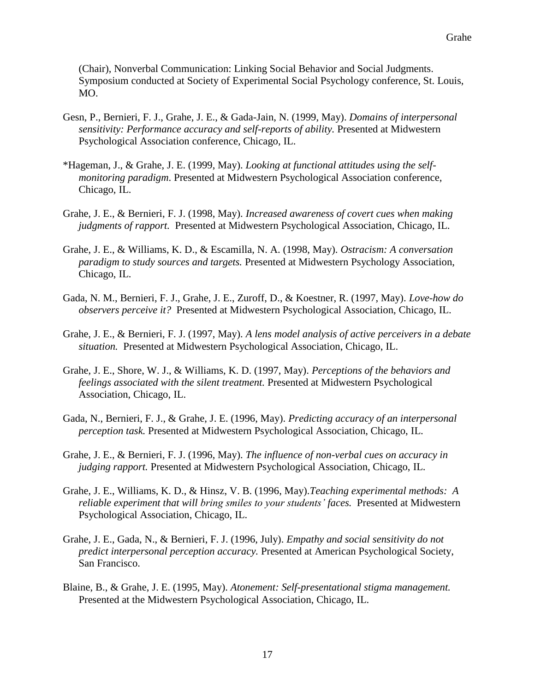(Chair), Nonverbal Communication: Linking Social Behavior and Social Judgments. Symposium conducted at Society of Experimental Social Psychology conference, St. Louis, MO.

- Gesn, P., Bernieri, F. J., Grahe, J. E., & Gada-Jain, N. (1999, May). *Domains of interpersonal sensitivity: Performance accuracy and self-reports of ability.* Presented at Midwestern Psychological Association conference, Chicago, IL.
- \*Hageman, J., & Grahe, J. E. (1999, May). *Looking at functional attitudes using the selfmonitoring paradigm*. Presented at Midwestern Psychological Association conference, Chicago, IL.
- Grahe, J. E., & Bernieri, F. J. (1998, May). *Increased awareness of covert cues when making judgments of rapport.* Presented at Midwestern Psychological Association, Chicago, IL.
- Grahe, J. E., & Williams, K. D., & Escamilla, N. A. (1998, May). *Ostracism: A conversation paradigm to study sources and targets.* Presented at Midwestern Psychology Association, Chicago, IL.
- Gada, N. M., Bernieri, F. J., Grahe, J. E., Zuroff, D., & Koestner, R. (1997, May). *Love-how do observers perceive it?* Presented at Midwestern Psychological Association, Chicago, IL.
- Grahe, J. E., & Bernieri, F. J. (1997, May). *A lens model analysis of active perceivers in a debate situation.* Presented at Midwestern Psychological Association, Chicago, IL.
- Grahe, J. E., Shore, W. J., & Williams, K. D. (1997, May). *Perceptions of the behaviors and feelings associated with the silent treatment.* Presented at Midwestern Psychological Association, Chicago, IL.
- Gada, N., Bernieri, F. J., & Grahe, J. E. (1996, May). *Predicting accuracy of an interpersonal perception task.* Presented at Midwestern Psychological Association, Chicago, IL.
- Grahe, J. E., & Bernieri, F. J. (1996, May). *The influence of non-verbal cues on accuracy in judging rapport.* Presented at Midwestern Psychological Association, Chicago, IL.
- Grahe, J. E., Williams, K. D., & Hinsz, V. B. (1996, May).*Teaching experimental methods: A reliable experiment that will bring smiles to your students' faces.* Presented at Midwestern Psychological Association, Chicago, IL.
- Grahe, J. E., Gada, N., & Bernieri, F. J. (1996, July). *Empathy and social sensitivity do not predict interpersonal perception accuracy.* Presented at American Psychological Society, San Francisco.
- Blaine, B., & Grahe, J. E. (1995, May). *Atonement: Self-presentational stigma management.* Presented at the Midwestern Psychological Association, Chicago, IL.